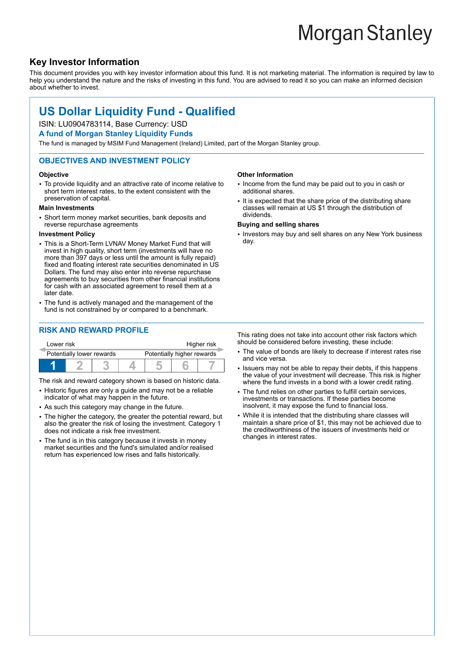# **Morgan Stanley**

# **Key Investor Information**

This document provides you with key investor information about this fund. It is not marketing material. The information is required by law to help you understand the nature and the risks of investing in this fund. You are advised to read it so you can make an informed decision about whether to invest.

# **US Dollar Liquidity Fund - Qualified**

# ISIN: LU0904783114, Base Currency: USD

# **A fund of Morgan Stanley Liquidity Funds**

The fund is managed by MSIM Fund Management (Ireland) Limited, part of the Morgan Stanley group.

# **OBJECTIVES AND INVESTMENT POLICY**

### **Objective**

• To provide liquidity and an attractive rate of income relative to short term interest rates, to the extent consistent with the preservation of capital.

### **Main Investments**

• Short term money market securities, bank deposits and reverse repurchase agreements

# **Investment Policy**

- This is a Short-Term LVNAV Money Market Fund that will invest in high quality, short term (investments will have no more than 397 days or less until the amount is fully repaid) fixed and floating interest rate securities denominated in US Dollars. The fund may also enter into reverse repurchase agreements to buy securities from other financial institutions for cash with an associated agreement to resell them at a later date.
- The fund is actively managed and the management of the fund is not constrained by or compared to a benchmark.

# **RISK AND REWARD PROFILE**

| Lower risk |                           |  | Higher risk                |  |  |  |  |
|------------|---------------------------|--|----------------------------|--|--|--|--|
|            | Potentially lower rewards |  | Potentially higher rewards |  |  |  |  |
|            |                           |  |                            |  |  |  |  |

The risk and reward category shown is based on historic data.

- Historic figures are only a guide and may not be a reliable indicator of what may happen in the future.
- As such this category may change in the future.
- The higher the category, the greater the potential reward, but also the greater the risk of losing the investment. Category 1 does not indicate a risk free investment.
- The fund is in this category because it invests in money market securities and the fund's simulated and/or realised return has experienced low rises and falls historically.

### **Other Information**

- Income from the fund may be paid out to you in cash or additional shares.
- It is expected that the share price of the distributing share classes will remain at US \$1 through the distribution of dividends.

#### **Buying and selling shares**

• Investors may buy and sell shares on any New York business day.

This rating does not take into account other risk factors which should be considered before investing, these include:

- The value of bonds are likely to decrease if interest rates rise and vice versa.
- Issuers may not be able to repay their debts, if this happens the value of your investment will decrease. This risk is higher where the fund invests in a bond with a lower credit rating.
- The fund relies on other parties to fulfill certain services, investments or transactions. If these parties become insolvent, it may expose the fund to financial loss.
- While it is intended that the distributing share classes will maintain a share price of \$1, this may not be achieved due to the creditworthiness of the issuers of investments held or changes in interest rates.